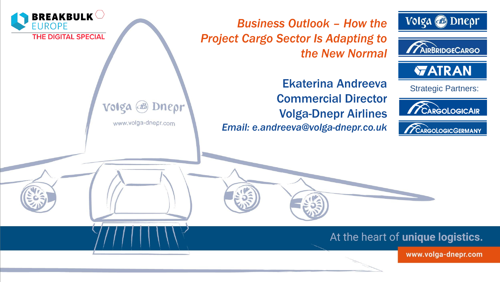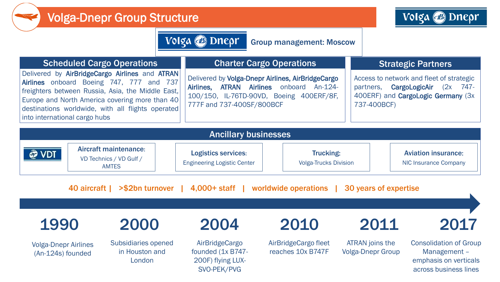

across business lines

Volga & Dnepr

### Group management: Moscow

| <b>Scheduled Cargo Operations</b>                                                                                                                                                                                                                                                       | <b>Charter Cargo Operations</b>                                                                                                                                        | <b>Strategic Partners</b>                                                                                                                        |
|-----------------------------------------------------------------------------------------------------------------------------------------------------------------------------------------------------------------------------------------------------------------------------------------|------------------------------------------------------------------------------------------------------------------------------------------------------------------------|--------------------------------------------------------------------------------------------------------------------------------------------------|
| Delivered by AirBridgeCargo Airlines and ATRAN<br>Airlines onboard Boeing 747, 777 and 737<br>freighters between Russia, Asia, the Middle East,<br>Europe and North America covering more than 40<br>destinations worldwide, with all flights operated<br>into international cargo hubs | Delivered by Volga-Dnepr Airlines, AirBridgeCargo<br>Airlines, ATRAN Airlines onboard An-124-<br>100/150, IL-76TD-90VD, Boeing 400ERF/8F,<br>777F and 737-400SF/800BCF | Access to network and fleet of strategic<br>partners, <b>CargoLogicAir</b> (2x 747-<br>400ERF) and <b>CargoLogic Germany</b> (3x)<br>737-400BCF) |

| <b>Ancillary businesses</b>                                                                           |                                                                         |                                                                  |                                                  |                                             |                                                                       |  |  |
|-------------------------------------------------------------------------------------------------------|-------------------------------------------------------------------------|------------------------------------------------------------------|--------------------------------------------------|---------------------------------------------|-----------------------------------------------------------------------|--|--|
| <b>VDT</b>                                                                                            | <b>Aircraft maintenance:</b><br>VD Technics / VD Gulf /<br><b>AMTES</b> | <b>Logistics services:</b><br><b>Engineering Logistic Center</b> | <b>Trucking:</b><br><b>Volga-Trucks Division</b> |                                             | <b>Aviation insurance:</b><br><b>NIC Insurance Company</b>            |  |  |
| 30 years of expertise<br>$4,000+$ staff  <br>>\$2bn turnover  <br>worldwide operations<br>40 aircraft |                                                                         |                                                                  |                                                  |                                             |                                                                       |  |  |
| 1990                                                                                                  | 2000                                                                    | 2004                                                             | 2010                                             | 2011                                        | 2017                                                                  |  |  |
| <b>Volga-Dnepr Airlines</b><br>(An-124s) founded                                                      | Subsidiaries opened<br>in Houston and<br>London                         | AirBridgeCargo<br>founded (1x B747-<br>200F) flying LUX-         | AirBridgeCargo fleet<br>reaches 10x B747F        | ATRAN joins the<br><b>Volga-Dnepr Group</b> | <b>Consolidation of Group</b><br>Management-<br>emphasis on verticals |  |  |

200F) flying LUX-SVO-PEK/PVG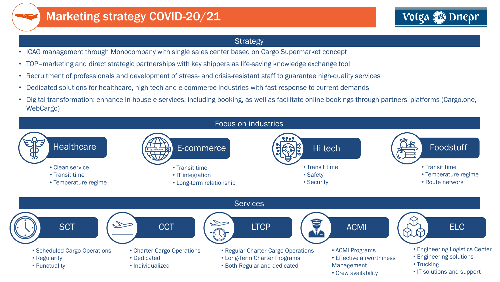



#### **Strategy**

- ICAG management through Monocompany with single sales center based on Cargo Supermarket concept
- TOP–marketing and direct strategic partnerships with key shippers as life-saving knowledge exchange tool
- Recruitment of professionals and development of stress- and crisis-resistant staff to guarantee high-quality services
- Dedicated solutions for healthcare, high tech and e-commerce industries with fast response to current demands
- Digital transformation: enhance in-house e-services, including booking, as well as facilitate online bookings through partners' platforms (Cargo.one, WebCargo)

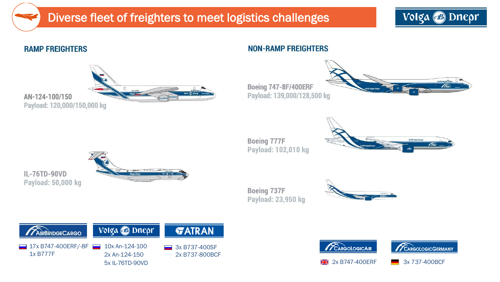# Diverse fleet of freighters to meet logistics challenges



#### **RAMP FREIGHTERS**



### **NON-RAMP FREIGHTERS**



**Boeing 777F** Payload: 102,010 kg



IL-76TD-90VD Payload: 50,000 kg



**Boeing 737F** Payload: 23,950 kg